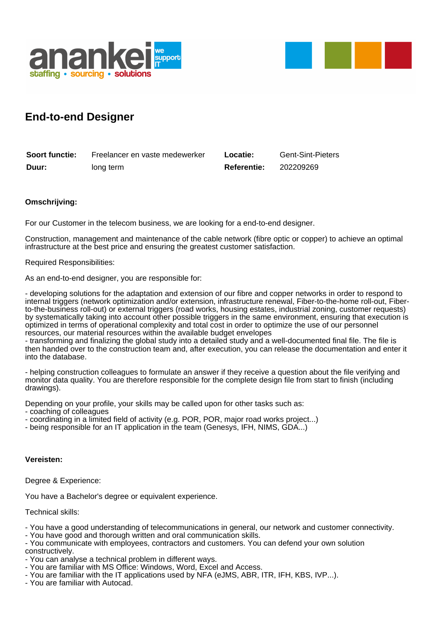



# **End-to-end Designer**

| <b>Soort functie:</b> | Freelancer en vaste medewerker | Locatie:           | <b>Gent-Sint-Pieters</b> |
|-----------------------|--------------------------------|--------------------|--------------------------|
| Duur:                 | long term                      | <b>Referentie:</b> | 202209269                |

## **Omschrijving:**

For our Customer in the telecom business, we are looking for a end-to-end designer.

Construction, management and maintenance of the cable network (fibre optic or copper) to achieve an optimal infrastructure at the best price and ensuring the greatest customer satisfaction.

Required Responsibilities:

As an end-to-end designer, you are responsible for:

- developing solutions for the adaptation and extension of our fibre and copper networks in order to respond to internal triggers (network optimization and/or extension, infrastructure renewal, Fiber-to-the-home roll-out, Fiberto-the-business roll-out) or external triggers (road works, housing estates, industrial zoning, customer requests) by systematically taking into account other possible triggers in the same environment, ensuring that execution is optimized in terms of operational complexity and total cost in order to optimize the use of our personnel resources, our material resources within the available budget envelopes

- transforming and finalizing the global study into a detailed study and a well-documented final file. The file is then handed over to the construction team and, after execution, you can release the documentation and enter it into the database.

- helping construction colleagues to formulate an answer if they receive a question about the file verifying and monitor data quality. You are therefore responsible for the complete design file from start to finish (including drawings).

Depending on your profile, your skills may be called upon for other tasks such as:

- coaching of colleagues
- coordinating in a limited field of activity (e.g. POR, POR, major road works project...)
- being responsible for an IT application in the team (Genesys, IFH, NIMS, GDA...)

### **Vereisten:**

Degree & Experience:

You have a Bachelor's degree or equivalent experience.

Technical skills:

- You have a good understanding of telecommunications in general, our network and customer connectivity.
- You have good and thorough written and oral communication skills.
- You communicate with employees, contractors and customers. You can defend your own solution constructively.
- You can analyse a technical problem in different ways.
- You are familiar with MS Office: Windows, Word, Excel and Access.
- You are familiar with the IT applications used by NFA (eJMS, ABR, ITR, IFH, KBS, IVP...).
- You are familiar with Autocad.